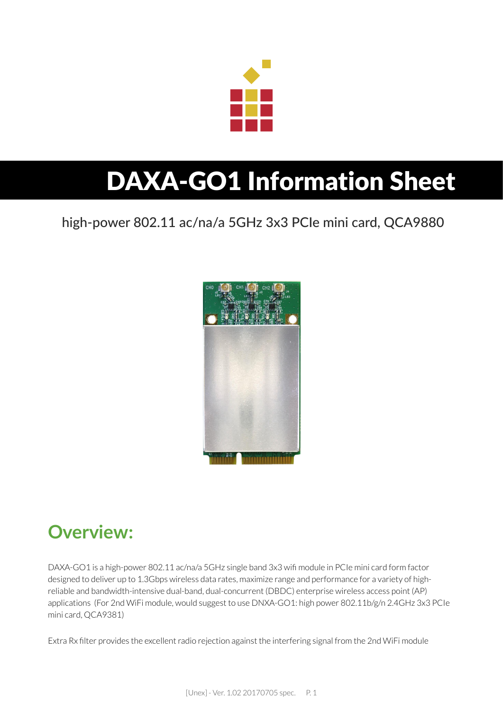

# DAXA-GO1 Information Sheet

### high-power 802.11 ac/na/a 5GHz 3x3 PCIe mini card, QCA9880



# **Overview:**

DAXA-GO1 is a high-power 802.11 ac/na/a 5GHz single band 3x3 wifi module in PCIe mini card form factor designed to deliver up to 1.3Gbps wireless data rates, maximize range and performance for a variety of highreliable and bandwidth-intensive dual-band, dual-concurrent (DBDC) enterprise wireless access point (AP) applications (For 2nd WiFi module, would suggest to use DNXA-GO1: high power 802.11b/g/n 2.4GHz 3x3 PCIe mini card, QCA9381)

Extra Rx filter provides the excellent radio rejection against the interfering signal from the 2nd WiFi module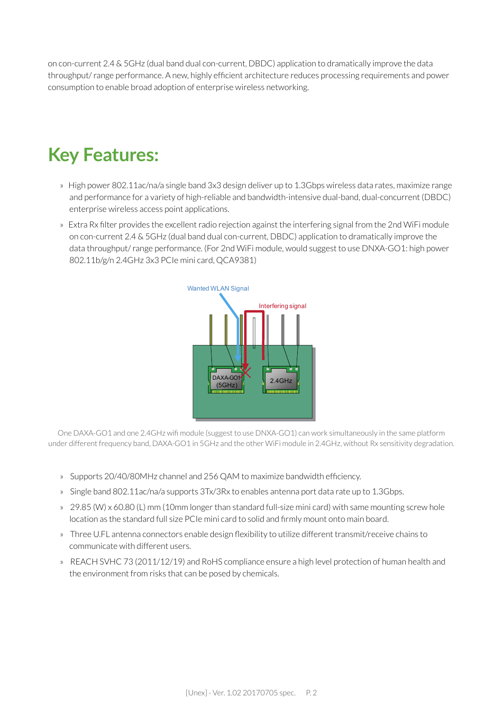on con-current 2.4 & 5GHz (dual band dual con-current, DBDC) application to dramatically improve the data throughput/ range performance. A new, highly efficient architecture reduces processing requirements and power consumption to enable broad adoption of enterprise wireless networking.

# **Key Features:**

- » High power 802.11ac/na/a single band 3x3 design deliver up to 1.3Gbps wireless data rates, maximize range and performance for a variety of high-reliable and bandwidth-intensive dual-band, dual-concurrent (DBDC) enterprise wireless access point applications.
- » Extra Rx filter provides the excellent radio rejection against the interfering signal from the 2nd WiFi module on con-current 2.4 & 5GHz (dual band dual con-current, DBDC) application to dramatically improve the data throughput/ range performance. (For 2nd WiFi module, would suggest to use DNXA-GO1: high power 802.11b/g/n 2.4GHz 3x3 PCIe mini card, QCA9381)



One DAXA-GO1 and one 2.4GHz wifi module (suggest to use DNXA-GO1) can work simultaneously in the same platform under different frequency band, DAXA-GO1 in 5GHz and the other WiFi module in 2.4GHz, without Rx sensitivity degradation.

- » Supports 20/40/80MHz channel and 256 QAM to maximize bandwidth efficiency.
- » Single band 802.11ac/na/a supports 3Tx/3Rx to enables antenna port data rate up to 1.3Gbps.
- » 29.85 (W) x 60.80 (L) mm (10mm longer than standard full-size mini card) with same mounting screw hole location as the standard full size PCIe mini card to solid and firmly mount onto main board.
- » Three U.FL antenna connectors enable design flexibility to utilize different transmit/receive chains to communicate with different users.
- » REACH SVHC 73 (2011/12/19) and RoHS compliance ensure a high level protection of human health and the environment from risks that can be posed by chemicals.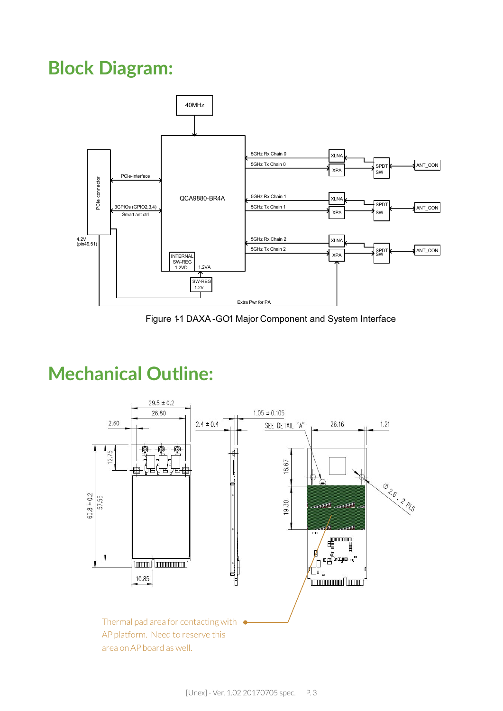# **Block Diagram:**



Figure 11 DAXA -GO1 Major Component and System Interface

# **Mechanical Outline:**

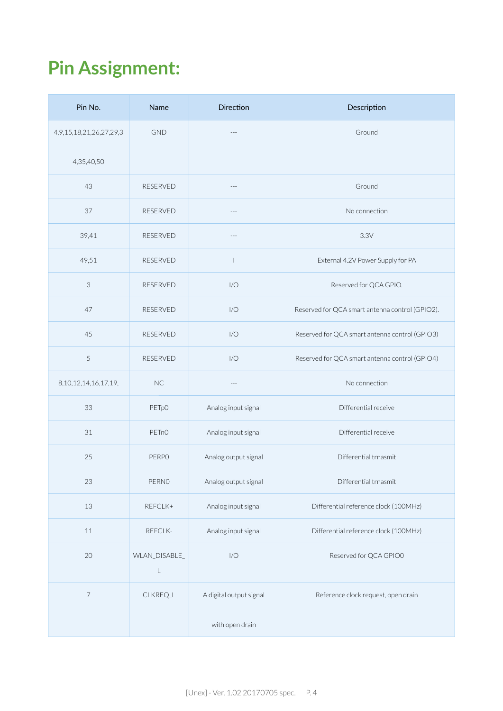# **Pin Assignment:**

| Pin No.                         | Name                         | <b>Direction</b>        | Description                                     |
|---------------------------------|------------------------------|-------------------------|-------------------------------------------------|
| 4, 9, 15, 18, 21, 26, 27, 29, 3 | <b>GND</b>                   | $\overline{a}$          | Ground                                          |
| 4,35,40,50                      |                              |                         |                                                 |
| 43                              | <b>RESERVED</b>              | $-$                     | Ground                                          |
| 37                              | <b>RESERVED</b>              | ---                     | No connection                                   |
| 39,41                           | <b>RESERVED</b>              | $---$                   | 3.3V                                            |
| 49,51                           | <b>RESERVED</b>              | $\mathbf{I}$            | External 4.2V Power Supply for PA               |
| 3                               | <b>RESERVED</b>              | 1/O                     | Reserved for QCA GPIO.                          |
| 47                              | RESERVED                     | 1/O                     | Reserved for QCA smart antenna control (GPIO2). |
| 45                              | <b>RESERVED</b>              | 1/O                     | Reserved for QCA smart antenna control (GPIO3)  |
| 5                               | RESERVED                     | 1/O                     | Reserved for QCA smart antenna control (GPIO4)  |
| 8, 10, 12, 14, 16, 17, 19,      | <b>NC</b>                    | $- - -$                 | No connection                                   |
| 33                              | PETp0                        | Analog input signal     | Differential receive                            |
| 31                              | PET <sub>n</sub> O           | Analog input signal     | Differential receive                            |
| 25                              | <b>PERPO</b>                 | Analog output signal    | Differential trnasmit                           |
| 23                              | PERNO                        | Analog output signal    | Differential trnasmit                           |
| 13                              | REFCLK+                      | Analog input signal     | Differential reference clock (100MHz)           |
| 11                              | REFCLK-                      | Analog input signal     | Differential reference clock (100MHz)           |
| 20                              | WLAN_DISABLE_<br>$\mathsf L$ | 1/O                     | Reserved for QCA GPIO0                          |
| $\overline{\phantom{a}}$        | CLKREQ_L                     | A digital output signal | Reference clock request, open drain             |
|                                 |                              | with open drain         |                                                 |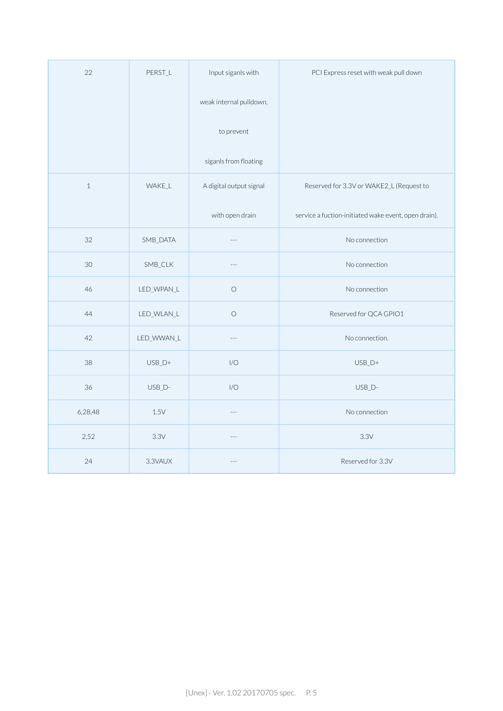| 22           | PERST_L         | Input siganls with      | PCI Express reset with weak pull down                |
|--------------|-----------------|-------------------------|------------------------------------------------------|
|              |                 | weak internal pulldown, |                                                      |
|              |                 | to prevent              |                                                      |
|              |                 | siganls from floating   |                                                      |
| $\mathbf{1}$ | WAKE_L          | A digital output signal | Reserved for 3.3V or WAKE2_L (Request to             |
|              |                 | with open drain         | service a fuction-initiated wake event, open drain). |
| 32           | SMB_DATA        | $\cdots$                | No connection                                        |
| 30           | SMB_CLK         |                         | No connection                                        |
| 46           | LED_WPAN_L      | $\bigcirc$              | No connection                                        |
| 44           | LED_WLAN_L      | $\bigcirc$              | Reserved for QCA GPIO1                               |
| 42           | LED_WWAN_L      | $\cdots$                | No connection.                                       |
| 38           | $USB_D+$        | I/O                     | $USB_D+$                                             |
| 36           | USB_D-          | I/O                     | USB_D-                                               |
| 6,28,48      | $1.5\mathrm{V}$ | $\overline{a}$          | No connection                                        |
| 2,52         | 3.3V            | $---$                   | 3.3V                                                 |
| 24           | 3.3VAUX         |                         | Reserved for 3.3V                                    |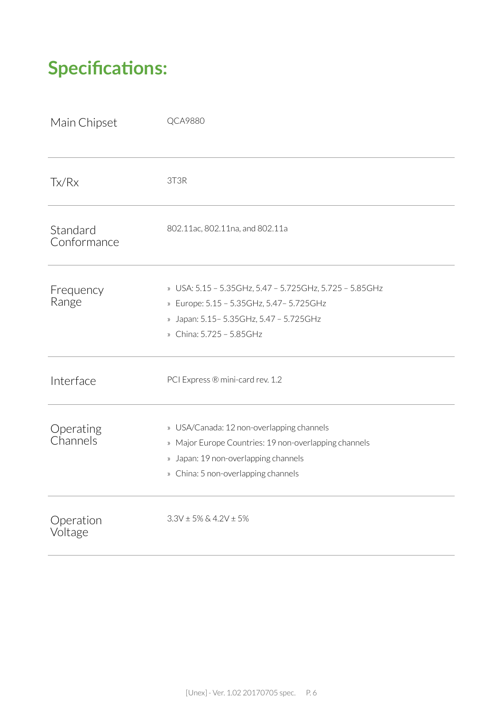# **Specifications:**

| Main Chipset            | <b>QCA9880</b>                                                                                                                                                                    |
|-------------------------|-----------------------------------------------------------------------------------------------------------------------------------------------------------------------------------|
| Tx/Rx                   | 3T3R                                                                                                                                                                              |
| Standard<br>Conformance | 802.11ac, 802.11na, and 802.11a                                                                                                                                                   |
| Frequency<br>Range      | » USA: 5.15 - 5.35GHz, 5.47 - 5.725GHz, 5.725 - 5.85GHz<br>» Europe: 5.15 - 5.35GHz, 5.47 - 5.725GHz<br>» Japan: 5.15 - 5.35 GHz, 5.47 - 5.725 GHz<br>» China: 5.725 - 5.85GHz    |
| Interface               | PCI Express ® mini-card rev. 1.2                                                                                                                                                  |
| Operating<br>Channels   | » USA/Canada: 12 non-overlapping channels<br>» Major Europe Countries: 19 non-overlapping channels<br>» Japan: 19 non-overlapping channels<br>» China: 5 non-overlapping channels |
| Operation<br>Voltage    | $3.3V \pm 5\%$ & 4.2V $\pm$ 5%                                                                                                                                                    |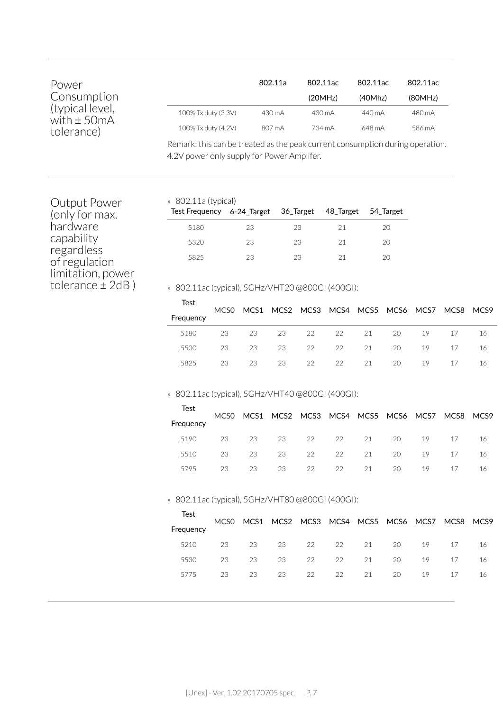| Power<br>Consumption<br>(typical level,<br>with $\pm$ 50mA<br>tolerance) |                                                                                                  | 802.11a | 802.11ac<br>(20MHz) | 802.11ac<br>(40Mhz) | 802.11ac<br>(80MHz) |
|--------------------------------------------------------------------------|--------------------------------------------------------------------------------------------------|---------|---------------------|---------------------|---------------------|
|                                                                          | 100% Tx duty (3.3V)                                                                              | 430 mA  | $430 \text{ mA}$    | 440 mA              | 480 mA              |
|                                                                          | 100% Tx duty (4.2V)                                                                              | 807 mA  | 734 mA              | 648 mA              | 586 mA              |
|                                                                          | <b>D</b> and all the contracted of a the mode and announced and announced in the property of the |         |                     |                     |                     |

Remark: this can be treated as the peak current consumption during operation. 4.2V power only supply for Power Amplifer.

Output Power (only for max. hardware capability regardless of regulation limitation, power tolerance ± 2dB )

### » 802.11a (typical)

| OOL.110 (C) PICU<br>Test Frequency 6-24_Target 36_Target 48_Target 54_Target |    |    |    |    |
|------------------------------------------------------------------------------|----|----|----|----|
| 5180                                                                         | 23 | 23 | 21 | 20 |
| 5320                                                                         | 23 | 23 | 21 | 20 |
| 5825                                                                         | 23 | 23 | 21 | 20 |

» 802.11ac (typical), 5GHz/VHT20 @800GI (400GI):

|     |                  |    |                |    |       |                            | 17             | 16                                                 |
|-----|------------------|----|----------------|----|-------|----------------------------|----------------|----------------------------------------------------|
| 23. |                  | 23 |                |    |       | 19                         | 17             | 16                                                 |
| 23  |                  | 23 |                |    |       | 19                         | 17             | 16                                                 |
|     | MCS <sub>0</sub> | 23 | 23<br>23<br>23 | 22 | 22 22 | 23 22 22 21<br>21<br>22 21 | 20<br>20<br>20 | MCS1 MCS2 MCS3 MCS4 MCS5 MCS6 MCS7 MCS8 MCS9<br>19 |

### » 802.11ac (typical), 5GHz/VHT40 @800GI (400GI):

| Test      | MCS <sub>0</sub> |    |          |    | MCS1 MCS2 MCS3 MCS4 MCS5 MCS6 MCS7 MCS8 MCS9 |    |    |     |    |
|-----------|------------------|----|----------|----|----------------------------------------------|----|----|-----|----|
| Frequency |                  |    |          |    |                                              |    |    |     |    |
| 5190      | 23               |    | 23 23 22 |    | 22 21 20                                     |    | 19 | -17 | 16 |
| 5510      | 23               |    | 23 23    | 22 | 22 21 20                                     |    | 19 | 17  | 16 |
| 5795      | 23.              | 23 | 23       | 22 | 22 21                                        | 20 | 19 | 17  | 16 |

#### » 802.11ac (typical), 5GHz/VHT80 @800GI (400GI):

| Test      |    |    |       |    |    |                  |                                                   |    |    |     |
|-----------|----|----|-------|----|----|------------------|---------------------------------------------------|----|----|-----|
| Frequency |    |    |       |    |    |                  | MCS0 MCS1 MCS2 MCS3 MCS4 MCS5 MCS6 MCS7 MCS8 MCS9 |    |    |     |
| 5210      | 23 |    | 23 23 |    |    |                  | 22 22 21 20                                       | 19 | 17 | 16  |
| 5530      | 23 | 23 | 23    |    |    | $22 \t 22 \t 21$ | 20                                                | 19 | 17 | -16 |
| 5775      | 23 | 23 | 23    | 22 | 22 | 21               | 20                                                | 19 | 17 | 16  |
|           |    |    |       |    |    |                  |                                                   |    |    |     |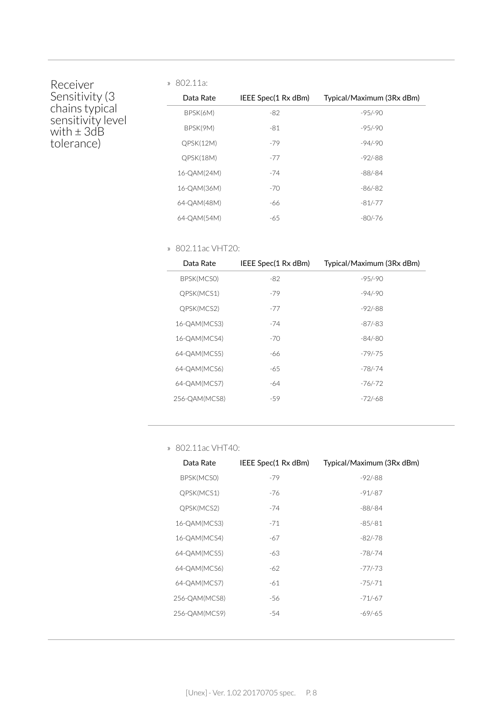### Receiver Sensitivity (3 chains typical sensitivity level with ± 3dB tolerance)

| 11 V L<br>d.<br>JZ.II |  |
|-----------------------|--|
|-----------------------|--|

| Data Rate   | IEEE Spec(1 Rx dBm) | Typical/Maximum (3Rx dBm) |
|-------------|---------------------|---------------------------|
| BPSK(6M)    | -82                 | $-95/90$                  |
| BPSK(9M)    | -81                 | $-95/90$                  |
| QPSK(12M)   | $-79$               | $-94/-90$                 |
| QPSK(18M)   | $-77$               | $-92/ - 88$               |
| 16-QAM(24M) | $-74$               | $-88/ - 84$               |
| 16-0AM(36M) | $-70$               | -86/-82                   |
| 64-QAM(48M) | -66                 | $-81/-77$                 |
| 64-OAM(54M) | -65                 | $-80/-76$                 |

#### » 802.11ac VHT20:

| Data Rate     | IEEE Spec(1 Rx dBm) | Typical/Maximum (3Rx dBm) |
|---------------|---------------------|---------------------------|
| BPSK(MCSO)    | $-82$               | $-95/90$                  |
| QPSK(MCS1)    | $-79$               | $-94/-90$                 |
| QPSK(MCS2)    | $-77$               | $-92/88$                  |
| 16-QAM(MCS3)  | $-74$               | -87/-83                   |
| 16-QAM(MCS4)  | $-70$               | -84/-80                   |
| 64-QAM(MCS5)  | -66                 | -79/-75                   |
| 64-QAM(MCS6)  | -65                 | -78/-74                   |
| 64-QAM(MCS7)  | -64                 | -76/-72                   |
| 256-QAM(MCS8) | -59                 | -72/-68                   |
|               |                     |                           |

» 802.11ac VHT40:

| Data Rate     | IEEE Spec(1 Rx dBm) | Typical/Maximum (3Rx dBm) |
|---------------|---------------------|---------------------------|
| BPSK(MCSO)    | $-79$               | $-92/-88$                 |
| QPSK(MCS1)    | -76                 | $-91/-87$                 |
| QPSK(MCS2)    | -74                 | $-88/-84$                 |
| 16-QAM(MCS3)  | $-71$               | $-85/ - 81$               |
| 16-QAM(MCS4)  | -67                 | -82/-78                   |
| 64-QAM(MCS5)  | -63                 | $-78/-74$                 |
| 64-QAM(MCS6)  | -62                 | $-77/-73$                 |
| 64-QAM(MCS7)  | -61                 | $-75/-71$                 |
| 256-QAM(MCS8) | -56                 | $-71/-67$                 |
| 256-QAM(MCS9) | -54                 | -69/-65                   |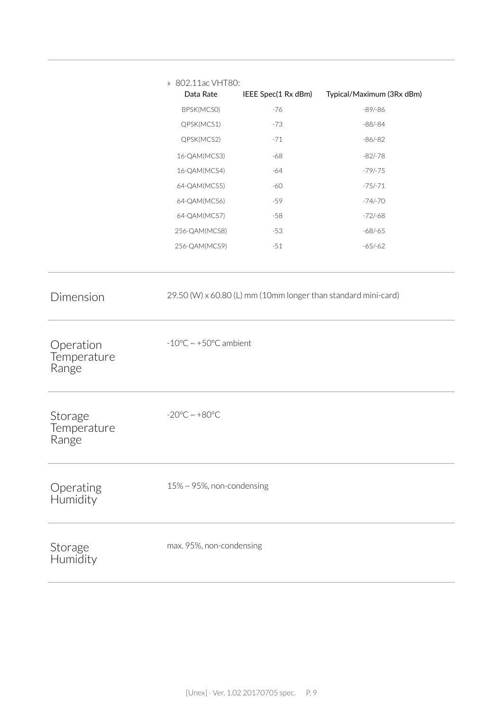|                                                | » 802.11ac VHT80:<br>Data Rate             | IEEE Spec(1 Rx dBm) | Typical/Maximum (3Rx dBm) |
|------------------------------------------------|--------------------------------------------|---------------------|---------------------------|
|                                                | BPSK(MCSO)                                 | $-76$               | $-89/-86$                 |
|                                                | QPSK(MCS1)                                 | $-73$               | $-88/-84$                 |
|                                                | QPSK(MCS2)                                 | $-71$               | $-86/-82$                 |
|                                                | 16-QAM(MCS3)                               | -68                 | $-82/-78$                 |
|                                                | 16-QAM(MCS4)                               | $-64$               | $-79/-75$                 |
|                                                | 64-QAM(MCS5)                               | $-60$               | $-75/-71$                 |
|                                                | 64-QAM(MCS6)                               | $-59$               | $-74/-70$                 |
|                                                | 64-QAM(MCS7)                               | $-58$               | $-72/-68$                 |
|                                                | 256-QAM(MCS8)                              | $-53$               | $-68/-65$                 |
|                                                | 256-QAM(MCS9)                              | $-51$               | $-65/-62$                 |
| Dimension<br>Operation<br>Temperature<br>Range | $-10^{\circ}$ C ~ +50 $^{\circ}$ C ambient |                     |                           |
| Storage<br>Temperature<br>Range                | $-20^{\circ}$ C ~ $+80^{\circ}$ C          |                     |                           |
| Operating<br>Humidity                          | $15\% \sim 95\%$ , non-condensing          |                     |                           |
| Storage<br>Humidity                            | max. 95%, non-condensing                   |                     |                           |